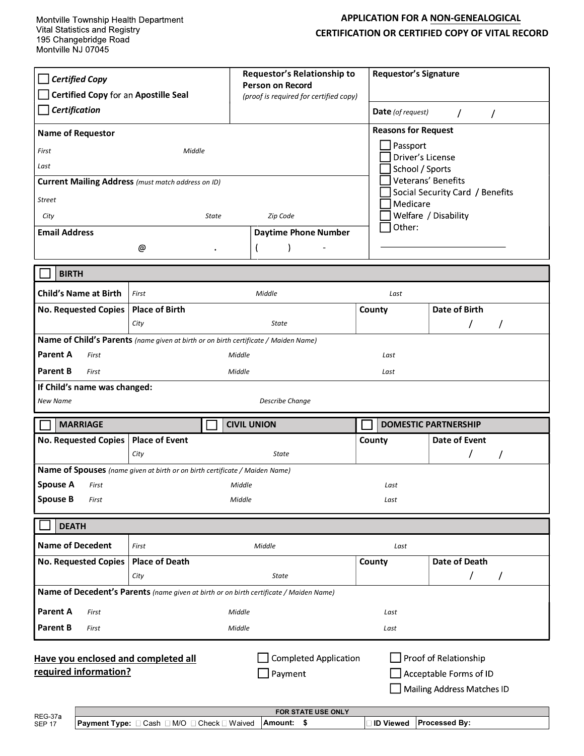## APPLICATION FOR A NON-GENEALOGICAL CERTIFICATION OR CERTIFIED COPY OF VITAL RECORD

| <b>Certified Copy</b><br>Certified Copy for an Apostille Seal<br>Certification<br><b>Name of Requestor</b><br>First<br>Middle                                                            |                                                                                             | Requestor's Relationship to<br><b>Person on Record</b><br>(proof is required for certified copy) |                                       | <b>Requestor's Signature</b><br><b>Date</b> (of request)<br>$\prime$<br>$\prime$<br><b>Reasons for Request</b><br>Passport<br>Driver's License |  |
|------------------------------------------------------------------------------------------------------------------------------------------------------------------------------------------|---------------------------------------------------------------------------------------------|--------------------------------------------------------------------------------------------------|---------------------------------------|------------------------------------------------------------------------------------------------------------------------------------------------|--|
| Last<br><b>Street</b><br>City<br><b>Email Address</b>                                                                                                                                    | <b>Current Mailing Address</b> (must match address on ID)<br><b>State</b><br>@<br>$\bullet$ | Zip Code<br><b>Daytime Phone Number</b>                                                          | School / Sports<br>Medicare<br>Other: | Veterans' Benefits<br>Social Security Card / Benefits<br>Welfare / Disability                                                                  |  |
| <b>BIRTH</b>                                                                                                                                                                             |                                                                                             |                                                                                                  |                                       |                                                                                                                                                |  |
| <b>Child's Name at Birth</b>                                                                                                                                                             | Middle<br>First                                                                             |                                                                                                  | Last                                  |                                                                                                                                                |  |
| <b>No. Requested Copies</b>                                                                                                                                                              | <b>Place of Birth</b><br>City                                                               | State                                                                                            | County                                | <b>Date of Birth</b><br>T                                                                                                                      |  |
| Parent A<br>Middle<br>First<br>Last<br><b>Parent B</b><br>Middle<br>First<br>Last<br>If Child's name was changed:<br>Describe Change<br><b>New Name</b>                                  |                                                                                             |                                                                                                  |                                       |                                                                                                                                                |  |
| <b>MARRIAGE</b>                                                                                                                                                                          |                                                                                             | <b>CIVIL UNION</b>                                                                               |                                       | <b>DOMESTIC PARTNERSHIP</b>                                                                                                                    |  |
| No. Requested Copies                                                                                                                                                                     | <b>Place of Event</b><br>City                                                               | <b>State</b>                                                                                     | County                                | Date of Event<br>T<br>7                                                                                                                        |  |
| Name of Spouses (name given at birth or on birth certificate / Maiden Name)<br><b>Spouse A</b><br>Middle<br>First<br><b>Spouse B</b><br>Middle<br>First                                  |                                                                                             | Last<br>Last                                                                                     |                                       |                                                                                                                                                |  |
| <b>DEATH</b>                                                                                                                                                                             |                                                                                             |                                                                                                  |                                       |                                                                                                                                                |  |
| <b>Name of Decedent</b>                                                                                                                                                                  | First                                                                                       | Middle                                                                                           | Last                                  |                                                                                                                                                |  |
| <b>No. Requested Copies</b>                                                                                                                                                              | <b>Place of Death</b><br>City                                                               | <b>State</b>                                                                                     | County                                | <b>Date of Death</b><br>T<br>T                                                                                                                 |  |
| Name of Decedent's Parents (name given at birth or on birth certificate / Maiden Name)                                                                                                   |                                                                                             |                                                                                                  |                                       |                                                                                                                                                |  |
| <b>Parent A</b><br>First                                                                                                                                                                 |                                                                                             | Middle                                                                                           | Last                                  |                                                                                                                                                |  |
| <b>Parent B</b><br>First                                                                                                                                                                 |                                                                                             | Middle                                                                                           | Last                                  |                                                                                                                                                |  |
| <b>Completed Application</b><br>Proof of Relationship<br>Have you enclosed and completed all<br>required information?<br>Payment<br>Acceptable Forms of ID<br>Mailing Address Matches ID |                                                                                             |                                                                                                  |                                       |                                                                                                                                                |  |
| REG-37a<br><b>SEP 17</b>                                                                                                                                                                 | <b>Payment Type:</b> Cash M/O Check Maived                                                  | FOR STATE USE ONLY<br>Amount: \$                                                                 | ∃ ID Viewed                           | Processed By:                                                                                                                                  |  |